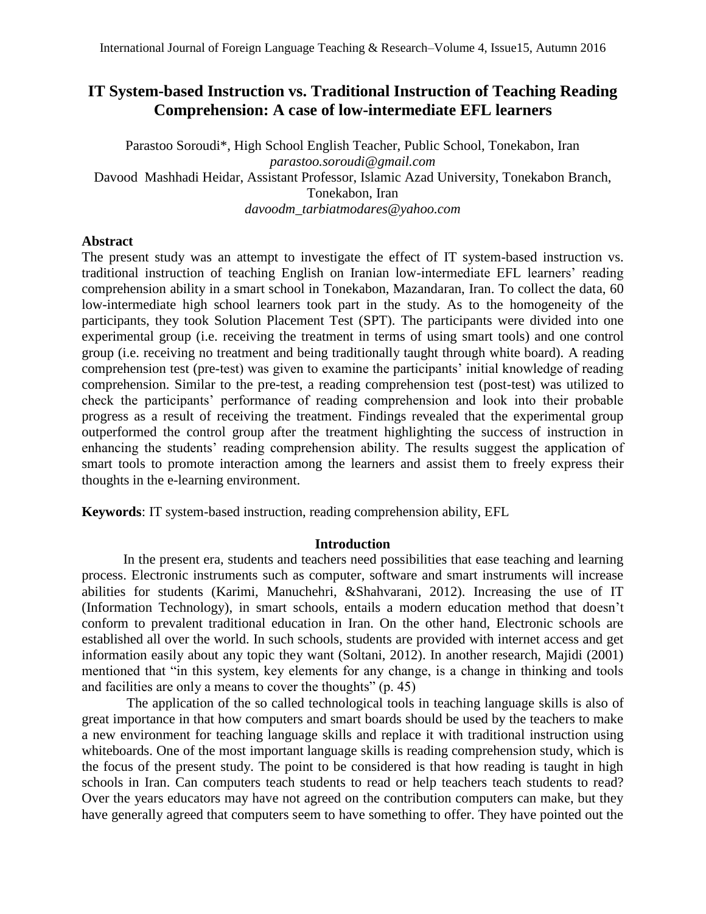# **IT System-based Instruction vs. Traditional Instruction of Teaching Reading Comprehension: A case of low-intermediate EFL learners**

Parastoo Soroudi\*, High School English Teacher, Public School, Tonekabon, Iran *[parastoo.soroudi@gmail.com](mailto:parastoo.soroudi@gmail.com)* Davood Mashhadi Heidar, Assistant Professor, Islamic Azad University, Tonekabon Branch, Tonekabon, Iran *[davoodm\\_tarbiatmodares@yahoo.com](mailto:davoodm_tarbiatmodares@yahoo.com)*

# **Abstract**

The present study was an attempt to investigate the effect of IT system-based instruction vs. traditional instruction of teaching English on Iranian low-intermediate EFL learners' reading comprehension ability in a smart school in Tonekabon, Mazandaran, Iran. To collect the data, 60 low-intermediate high school learners took part in the study. As to the homogeneity of the participants, they took Solution Placement Test (SPT). The participants were divided into one experimental group (i.e. receiving the treatment in terms of using smart tools) and one control group (i.e. receiving no treatment and being traditionally taught through white board). A reading comprehension test (pre-test) was given to examine the participants' initial knowledge of reading comprehension. Similar to the pre-test, a reading comprehension test (post-test) was utilized to check the participants' performance of reading comprehension and look into their probable progress as a result of receiving the treatment. Findings revealed that the experimental group outperformed the control group after the treatment highlighting the success of instruction in enhancing the students' reading comprehension ability. The results suggest the application of smart tools to promote interaction among the learners and assist them to freely express their thoughts in the e-learning environment.

**Keywords**: IT system-based instruction, reading comprehension ability, EFL

# **Introduction**

In the present era, students and teachers need possibilities that ease teaching and learning process. Electronic instruments such as computer, software and smart instruments will increase abilities for students (Karimi, Manuchehri, &Shahvarani, 2012). Increasing the use of IT (Information Technology), in smart schools, entails a modern education method that doesn't conform to prevalent traditional education in Iran. On the other hand, Electronic schools are established all over the world. In such schools, students are provided with internet access and get information easily about any topic they want (Soltani, 2012). In another research, Majidi (2001) mentioned that "in this system, key elements for any change, is a change in thinking and tools and facilities are only a means to cover the thoughts" (p. 45)

The application of the so called technological tools in teaching language skills is also of great importance in that how computers and smart boards should be used by the teachers to make a new environment for teaching language skills and replace it with traditional instruction using whiteboards. One of the most important language skills is reading comprehension study, which is the focus of the present study. The point to be considered is that how reading is taught in high schools in Iran. Can computers teach students to read or help teachers teach students to read? Over the years educators may have not agreed on the contribution computers can make, but they have generally agreed that computers seem to have something to offer. They have pointed out the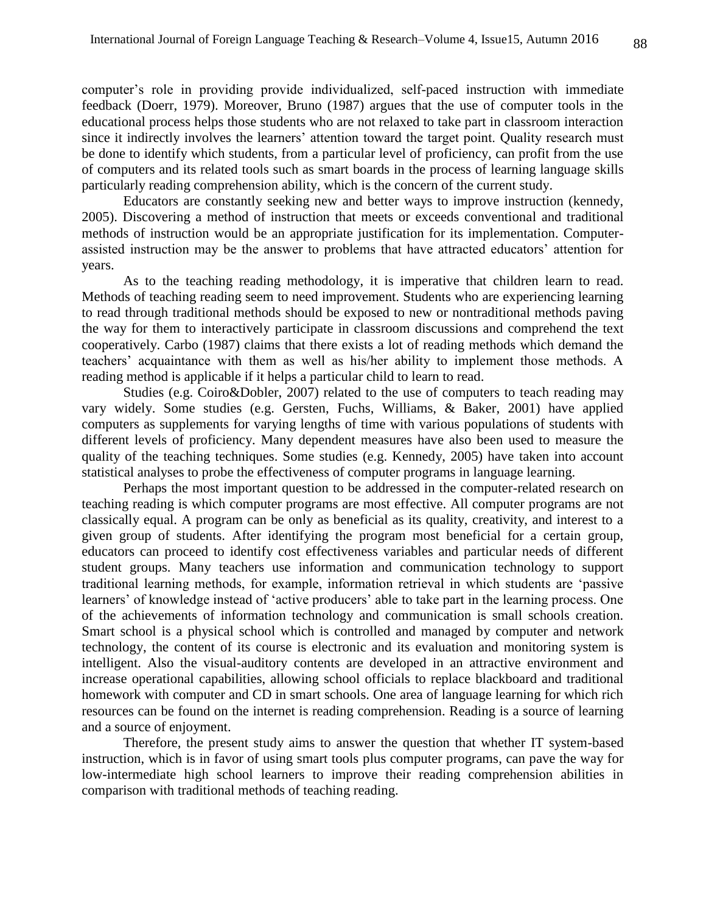computer's role in providing provide individualized, self-paced instruction with immediate feedback (Doerr, 1979). Moreover, Bruno (1987) argues that the use of computer tools in the educational process helps those students who are not relaxed to take part in classroom interaction since it indirectly involves the learners' attention toward the target point. Quality research must be done to identify which students, from a particular level of proficiency, can profit from the use of computers and its related tools such as smart boards in the process of learning language skills particularly reading comprehension ability, which is the concern of the current study.

Educators are constantly seeking new and better ways to improve instruction (kennedy, 2005). Discovering a method of instruction that meets or exceeds conventional and traditional methods of instruction would be an appropriate justification for its implementation. Computerassisted instruction may be the answer to problems that have attracted educators' attention for years.

As to the teaching reading methodology, it is imperative that children learn to read. Methods of teaching reading seem to need improvement. Students who are experiencing learning to read through traditional methods should be exposed to new or nontraditional methods paving the way for them to interactively participate in classroom discussions and comprehend the text cooperatively. Carbo (1987) claims that there exists a lot of reading methods which demand the teachers' acquaintance with them as well as his/her ability to implement those methods. A reading method is applicable if it helps a particular child to learn to read.

Studies (e.g. Coiro&Dobler, 2007) related to the use of computers to teach reading may vary widely. Some studies (e.g. Gersten, Fuchs, Williams, & Baker, 2001) have applied computers as supplements for varying lengths of time with various populations of students with different levels of proficiency. Many dependent measures have also been used to measure the quality of the teaching techniques. Some studies (e.g. Kennedy, 2005) have taken into account statistical analyses to probe the effectiveness of computer programs in language learning.

Perhaps the most important question to be addressed in the computer-related research on teaching reading is which computer programs are most effective. All computer programs are not classically equal. A program can be only as beneficial as its quality, creativity, and interest to a given group of students. After identifying the program most beneficial for a certain group, educators can proceed to identify cost effectiveness variables and particular needs of different student groups. Many teachers use information and communication technology to support traditional learning methods, for example, information retrieval in which students are 'passive learners' of knowledge instead of 'active producers' able to take part in the learning process. One of the achievements of information technology and communication is small schools creation. Smart school is a physical school which is controlled and managed by computer and network technology, the content of its course is electronic and its evaluation and monitoring system is intelligent. Also the visual-auditory contents are developed in an attractive environment and increase operational capabilities, allowing school officials to replace blackboard and traditional homework with computer and CD in smart schools. One area of language learning for which rich resources can be found on the internet is reading comprehension. Reading is a source of learning and a source of enjoyment.

Therefore, the present study aims to answer the question that whether IT system-based instruction, which is in favor of using smart tools plus computer programs, can pave the way for low-intermediate high school learners to improve their reading comprehension abilities in comparison with traditional methods of teaching reading.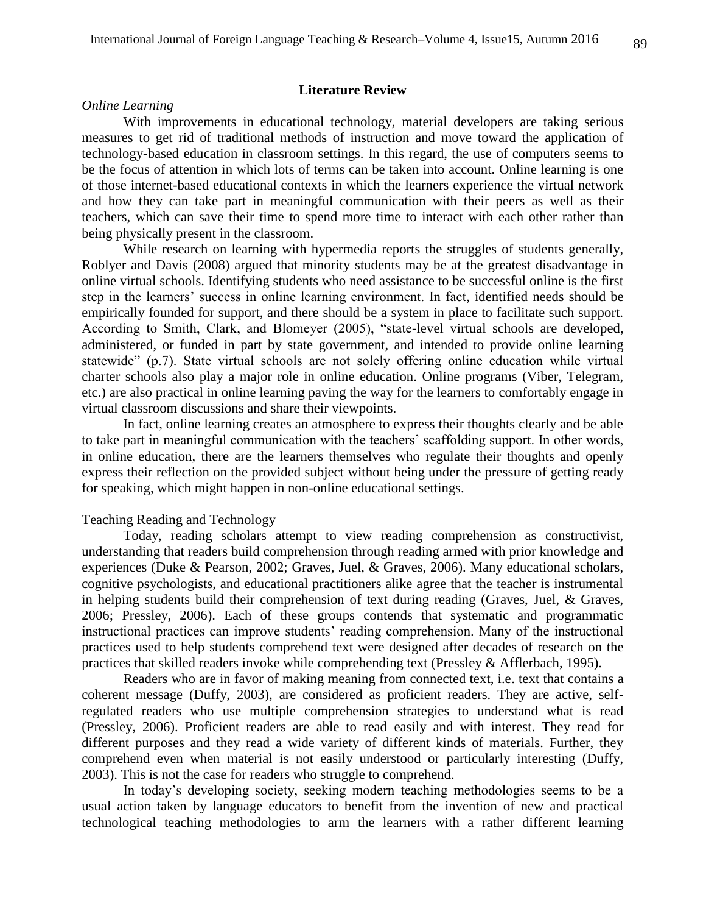# **Literature Review**

# *Online Learning*

With improvements in educational technology, material developers are taking serious measures to get rid of traditional methods of instruction and move toward the application of technology-based education in classroom settings. In this regard, the use of computers seems to be the focus of attention in which lots of terms can be taken into account. Online learning is one of those internet-based educational contexts in which the learners experience the virtual network and how they can take part in meaningful communication with their peers as well as their teachers, which can save their time to spend more time to interact with each other rather than being physically present in the classroom.

While research on learning with hypermedia reports the struggles of students generally, Roblyer and Davis (2008) argued that minority students may be at the greatest disadvantage in online virtual schools. Identifying students who need assistance to be successful online is the first step in the learners' success in online learning environment. In fact, identified needs should be empirically founded for support, and there should be a system in place to facilitate such support. According to Smith, Clark, and Blomeyer (2005), "state-level virtual schools are developed, administered, or funded in part by state government, and intended to provide online learning statewide" (p.7). State virtual schools are not solely offering online education while virtual charter schools also play a major role in online education. Online programs (Viber, Telegram, etc.) are also practical in online learning paving the way for the learners to comfortably engage in virtual classroom discussions and share their viewpoints.

In fact, online learning creates an atmosphere to express their thoughts clearly and be able to take part in meaningful communication with the teachers' scaffolding support. In other words, in online education, there are the learners themselves who regulate their thoughts and openly express their reflection on the provided subject without being under the pressure of getting ready for speaking, which might happen in non-online educational settings.

# Teaching Reading and Technology

Today, reading scholars attempt to view reading comprehension as constructivist, understanding that readers build comprehension through reading armed with prior knowledge and experiences (Duke & Pearson, 2002; Graves, Juel, & Graves, 2006). Many educational scholars, cognitive psychologists, and educational practitioners alike agree that the teacher is instrumental in helping students build their comprehension of text during reading (Graves, Juel, & Graves, 2006; Pressley, 2006). Each of these groups contends that systematic and programmatic instructional practices can improve students' reading comprehension. Many of the instructional practices used to help students comprehend text were designed after decades of research on the practices that skilled readers invoke while comprehending text (Pressley & Afflerbach, 1995).

Readers who are in favor of making meaning from connected text, i.e. text that contains a coherent message (Duffy, 2003), are considered as proficient readers. They are active, selfregulated readers who use multiple comprehension strategies to understand what is read (Pressley, 2006). Proficient readers are able to read easily and with interest. They read for different purposes and they read a wide variety of different kinds of materials. Further, they comprehend even when material is not easily understood or particularly interesting (Duffy, 2003). This is not the case for readers who struggle to comprehend.

In today's developing society, seeking modern teaching methodologies seems to be a usual action taken by language educators to benefit from the invention of new and practical technological teaching methodologies to arm the learners with a rather different learning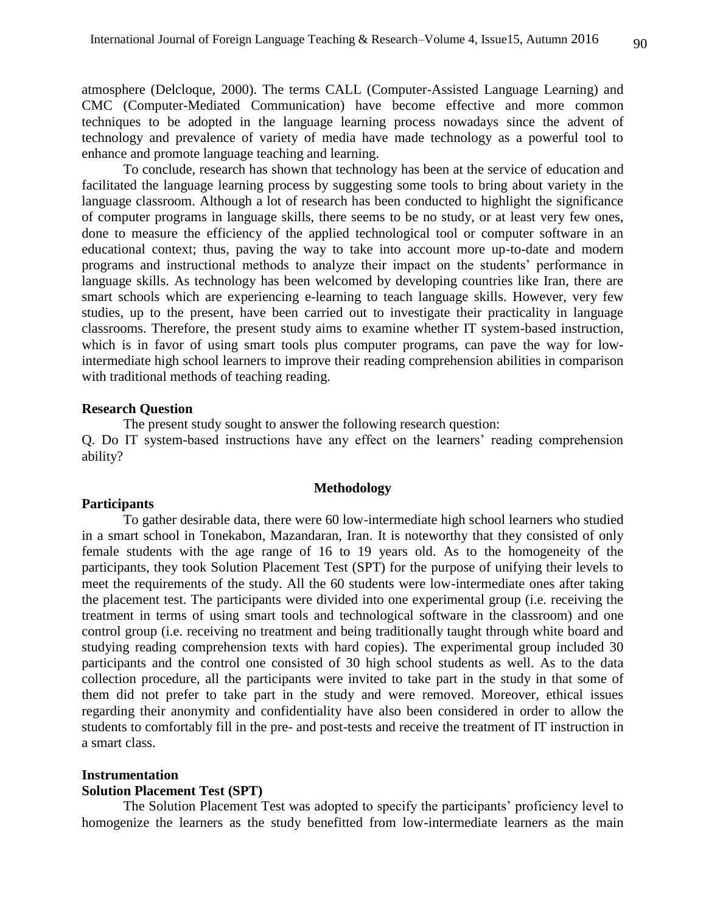atmosphere (Delcloque, 2000). The terms CALL (Computer-Assisted Language Learning) and CMC (Computer-Mediated Communication) have become effective and more common techniques to be adopted in the language learning process nowadays since the advent of technology and prevalence of variety of media have made technology as a powerful tool to enhance and promote language teaching and learning.

To conclude, research has shown that technology has been at the service of education and facilitated the language learning process by suggesting some tools to bring about variety in the language classroom. Although a lot of research has been conducted to highlight the significance of computer programs in language skills, there seems to be no study, or at least very few ones, done to measure the efficiency of the applied technological tool or computer software in an educational context; thus, paving the way to take into account more up-to-date and modern programs and instructional methods to analyze their impact on the students' performance in language skills. As technology has been welcomed by developing countries like Iran, there are smart schools which are experiencing e-learning to teach language skills. However, very few studies, up to the present, have been carried out to investigate their practicality in language classrooms. Therefore, the present study aims to examine whether IT system-based instruction, which is in favor of using smart tools plus computer programs, can pave the way for lowintermediate high school learners to improve their reading comprehension abilities in comparison with traditional methods of teaching reading.

#### **Research Question**

The present study sought to answer the following research question: Q. Do IT system-based instructions have any effect on the learners' reading comprehension ability?

#### **Methodology**

#### **Participants**

To gather desirable data, there were 60 low-intermediate high school learners who studied in a smart school in Tonekabon, Mazandaran, Iran. It is noteworthy that they consisted of only female students with the age range of 16 to 19 years old. As to the homogeneity of the participants, they took Solution Placement Test (SPT) for the purpose of unifying their levels to meet the requirements of the study. All the 60 students were low-intermediate ones after taking the placement test. The participants were divided into one experimental group (i.e. receiving the treatment in terms of using smart tools and technological software in the classroom) and one control group (i.e. receiving no treatment and being traditionally taught through white board and studying reading comprehension texts with hard copies). The experimental group included 30 participants and the control one consisted of 30 high school students as well. As to the data collection procedure, all the participants were invited to take part in the study in that some of them did not prefer to take part in the study and were removed. Moreover, ethical issues regarding their anonymity and confidentiality have also been considered in order to allow the students to comfortably fill in the pre- and post-tests and receive the treatment of IT instruction in a smart class.

## **Instrumentation**

#### **Solution Placement Test (SPT)**

The Solution Placement Test was adopted to specify the participants' proficiency level to homogenize the learners as the study benefitted from low-intermediate learners as the main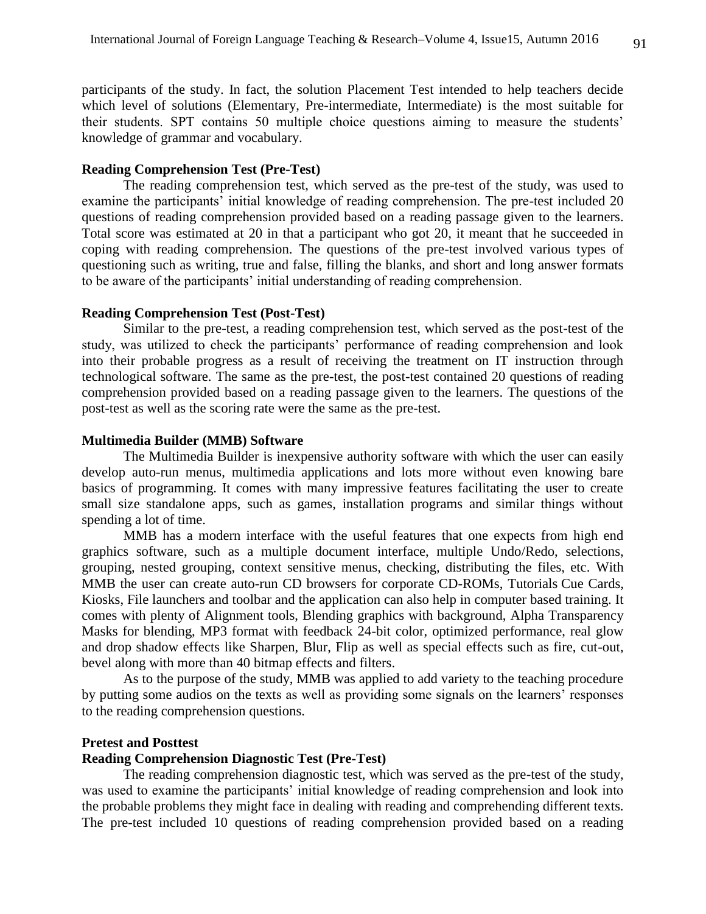participants of the study. In fact, the solution Placement Test intended to help teachers decide which level of solutions (Elementary, Pre-intermediate, Intermediate) is the most suitable for their students. SPT contains 50 multiple choice questions aiming to measure the students' knowledge of grammar and vocabulary.

# **Reading Comprehension Test (Pre-Test)**

The reading comprehension test, which served as the pre-test of the study, was used to examine the participants' initial knowledge of reading comprehension. The pre-test included 20 questions of reading comprehension provided based on a reading passage given to the learners. Total score was estimated at 20 in that a participant who got 20, it meant that he succeeded in coping with reading comprehension. The questions of the pre-test involved various types of questioning such as writing, true and false, filling the blanks, and short and long answer formats to be aware of the participants' initial understanding of reading comprehension.

# **Reading Comprehension Test (Post-Test)**

Similar to the pre-test, a reading comprehension test, which served as the post-test of the study, was utilized to check the participants' performance of reading comprehension and look into their probable progress as a result of receiving the treatment on IT instruction through technological software. The same as the pre-test, the post-test contained 20 questions of reading comprehension provided based on a reading passage given to the learners. The questions of the post-test as well as the scoring rate were the same as the pre-test.

# **Multimedia Builder (MMB) Software**

The Multimedia Builder is inexpensive authority software with which the user can easily develop auto-run menus, multimedia applications and lots more without even knowing bare basics of programming. It comes with many impressive features facilitating the user to create small size standalone apps, such as games, installation programs and similar things without spending a lot of time.

MMB has a modern interface with the useful features that one expects from high end graphics software, such as a multiple document interface, multiple Undo/Redo, selections, grouping, nested grouping, context sensitive menus, checking, distributing the files, etc. With MMB the user can create auto-run CD browsers for corporate CD-ROMs, Tutorials Cue Cards, Kiosks, File launchers and toolbar and the application can also help in computer based training. It comes with plenty of Alignment tools, Blending graphics with background, Alpha Transparency Masks for blending, MP3 format with feedback 24-bit color, optimized performance, real glow and drop shadow effects like Sharpen, Blur, Flip as well as special effects such as fire, cut-out, bevel along with more than 40 bitmap effects and filters.

As to the purpose of the study, MMB was applied to add variety to the teaching procedure by putting some audios on the texts as well as providing some signals on the learners' responses to the reading comprehension questions.

# **Pretest and Posttest**

### **Reading Comprehension Diagnostic Test (Pre-Test)**

The reading comprehension diagnostic test, which was served as the pre-test of the study, was used to examine the participants' initial knowledge of reading comprehension and look into the probable problems they might face in dealing with reading and comprehending different texts. The pre-test included 10 questions of reading comprehension provided based on a reading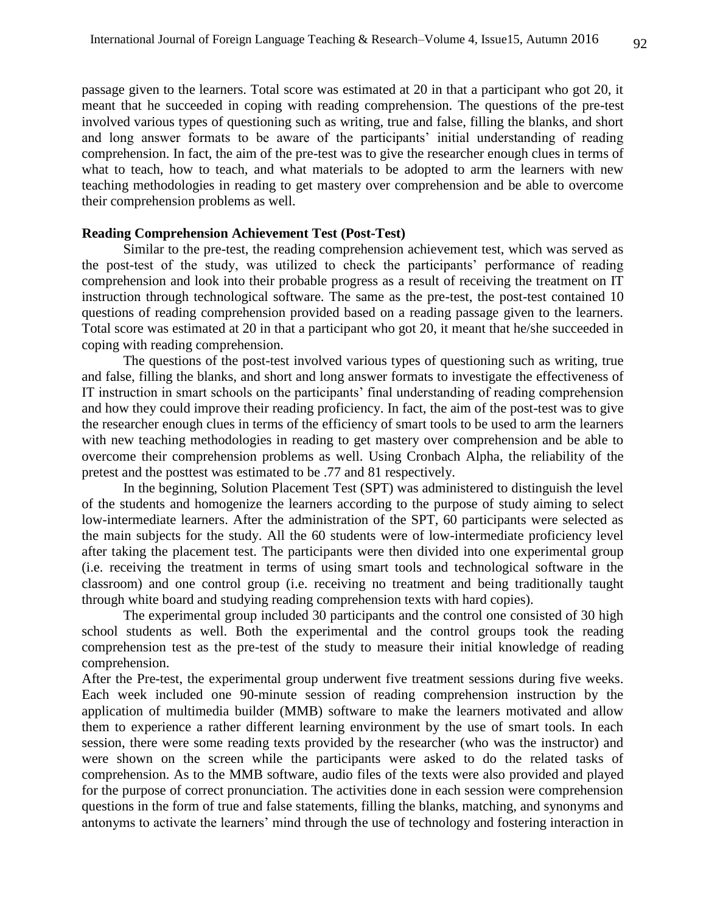passage given to the learners. Total score was estimated at 20 in that a participant who got 20, it meant that he succeeded in coping with reading comprehension. The questions of the pre-test involved various types of questioning such as writing, true and false, filling the blanks, and short and long answer formats to be aware of the participants' initial understanding of reading comprehension. In fact, the aim of the pre-test was to give the researcher enough clues in terms of what to teach, how to teach, and what materials to be adopted to arm the learners with new teaching methodologies in reading to get mastery over comprehension and be able to overcome their comprehension problems as well.

# **Reading Comprehension Achievement Test (Post-Test)**

Similar to the pre-test, the reading comprehension achievement test, which was served as the post-test of the study, was utilized to check the participants' performance of reading comprehension and look into their probable progress as a result of receiving the treatment on IT instruction through technological software. The same as the pre-test, the post-test contained 10 questions of reading comprehension provided based on a reading passage given to the learners. Total score was estimated at 20 in that a participant who got 20, it meant that he/she succeeded in coping with reading comprehension.

The questions of the post-test involved various types of questioning such as writing, true and false, filling the blanks, and short and long answer formats to investigate the effectiveness of IT instruction in smart schools on the participants' final understanding of reading comprehension and how they could improve their reading proficiency. In fact, the aim of the post-test was to give the researcher enough clues in terms of the efficiency of smart tools to be used to arm the learners with new teaching methodologies in reading to get mastery over comprehension and be able to overcome their comprehension problems as well. Using Cronbach Alpha, the reliability of the pretest and the posttest was estimated to be .77 and 81 respectively.

In the beginning, Solution Placement Test (SPT) was administered to distinguish the level of the students and homogenize the learners according to the purpose of study aiming to select low-intermediate learners. After the administration of the SPT, 60 participants were selected as the main subjects for the study. All the 60 students were of low-intermediate proficiency level after taking the placement test. The participants were then divided into one experimental group (i.e. receiving the treatment in terms of using smart tools and technological software in the classroom) and one control group (i.e. receiving no treatment and being traditionally taught through white board and studying reading comprehension texts with hard copies).

The experimental group included 30 participants and the control one consisted of 30 high school students as well. Both the experimental and the control groups took the reading comprehension test as the pre-test of the study to measure their initial knowledge of reading comprehension.

After the Pre-test, the experimental group underwent five treatment sessions during five weeks. Each week included one 90-minute session of reading comprehension instruction by the application of multimedia builder (MMB) software to make the learners motivated and allow them to experience a rather different learning environment by the use of smart tools. In each session, there were some reading texts provided by the researcher (who was the instructor) and were shown on the screen while the participants were asked to do the related tasks of comprehension. As to the MMB software, audio files of the texts were also provided and played for the purpose of correct pronunciation. The activities done in each session were comprehension questions in the form of true and false statements, filling the blanks, matching, and synonyms and antonyms to activate the learners' mind through the use of technology and fostering interaction in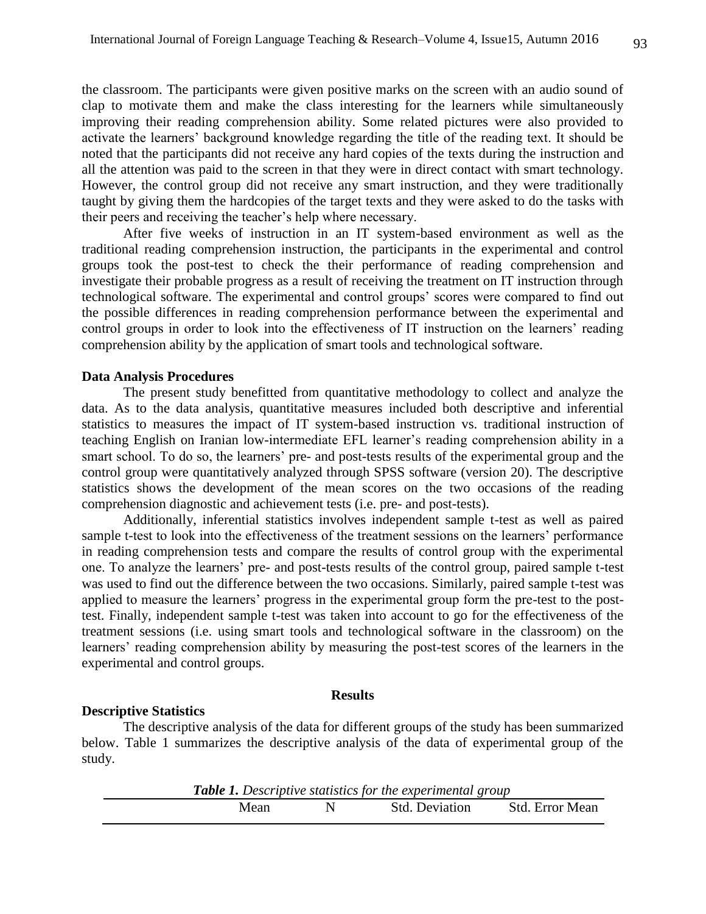the classroom. The participants were given positive marks on the screen with an audio sound of clap to motivate them and make the class interesting for the learners while simultaneously improving their reading comprehension ability. Some related pictures were also provided to activate the learners' background knowledge regarding the title of the reading text. It should be noted that the participants did not receive any hard copies of the texts during the instruction and all the attention was paid to the screen in that they were in direct contact with smart technology. However, the control group did not receive any smart instruction, and they were traditionally taught by giving them the hardcopies of the target texts and they were asked to do the tasks with their peers and receiving the teacher's help where necessary.

After five weeks of instruction in an IT system-based environment as well as the traditional reading comprehension instruction, the participants in the experimental and control groups took the post-test to check the their performance of reading comprehension and investigate their probable progress as a result of receiving the treatment on IT instruction through technological software. The experimental and control groups' scores were compared to find out the possible differences in reading comprehension performance between the experimental and control groups in order to look into the effectiveness of IT instruction on the learners' reading comprehension ability by the application of smart tools and technological software.

#### **Data Analysis Procedures**

The present study benefitted from quantitative methodology to collect and analyze the data. As to the data analysis, quantitative measures included both descriptive and inferential statistics to measures the impact of IT system-based instruction vs. traditional instruction of teaching English on Iranian low-intermediate EFL learner's reading comprehension ability in a smart school. To do so, the learners' pre- and post-tests results of the experimental group and the control group were quantitatively analyzed through SPSS software (version 20). The descriptive statistics shows the development of the mean scores on the two occasions of the reading comprehension diagnostic and achievement tests (i.e. pre- and post-tests).

Additionally, inferential statistics involves independent sample t-test as well as paired sample t-test to look into the effectiveness of the treatment sessions on the learners' performance in reading comprehension tests and compare the results of control group with the experimental one. To analyze the learners' pre- and post-tests results of the control group, paired sample t-test was used to find out the difference between the two occasions. Similarly, paired sample t-test was applied to measure the learners' progress in the experimental group form the pre-test to the posttest. Finally, independent sample t-test was taken into account to go for the effectiveness of the treatment sessions (i.e. using smart tools and technological software in the classroom) on the learners' reading comprehension ability by measuring the post-test scores of the learners in the experimental and control groups.

#### **Results**

# **Descriptive Statistics**

The descriptive analysis of the data for different groups of the study has been summarized below. Table 1 summarizes the descriptive analysis of the data of experimental group of the study.

| <b>Table 1.</b> Descriptive statistics for the experimental group |  |                       |                 |  |  |  |  |
|-------------------------------------------------------------------|--|-----------------------|-----------------|--|--|--|--|
| Mean                                                              |  | <b>Std.</b> Deviation | Std. Error Mean |  |  |  |  |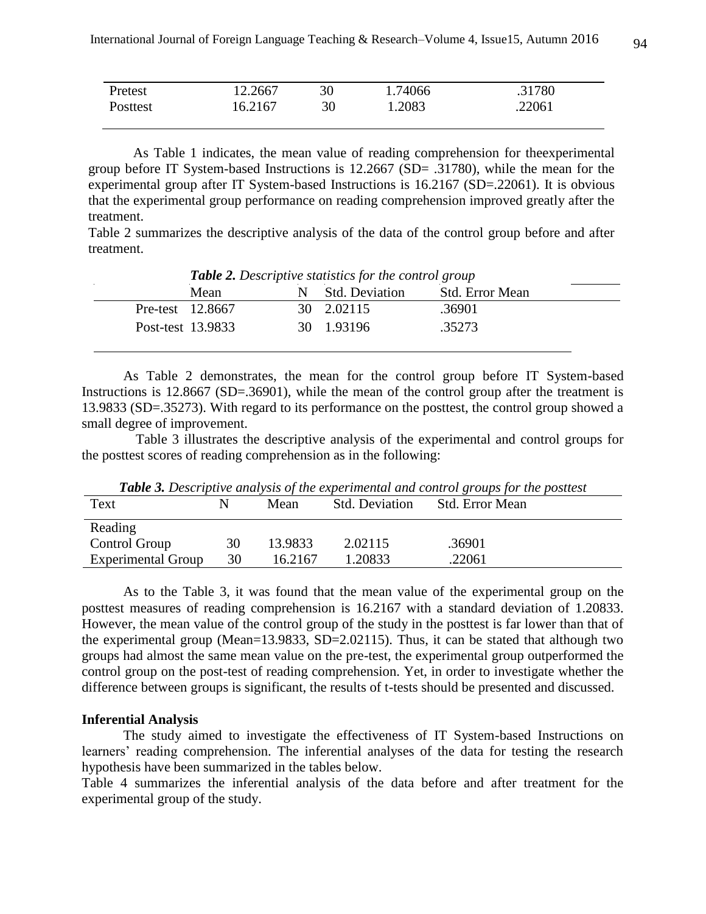| Pretest  | 12.2667 | 30 | 1.74066 | .31780 |
|----------|---------|----|---------|--------|
| Posttest | 16.2167 | 30 | 1.2083  | .22061 |

 As Table 1 indicates, the mean value of reading comprehension for theexperimental group before IT System-based Instructions is 12.2667 (SD= .31780), while the mean for the experimental group after IT System-based Instructions is 16.2167 (SD=.22061). It is obvious that the experimental group performance on reading comprehension improved greatly after the treatment.

Table 2 summarizes the descriptive analysis of the data of the control group before and after treatment.

| Mean              | <b>Std. Deviation</b> | <b>Std.</b> Error Mean |
|-------------------|-----------------------|------------------------|
| Pre-test 12.8667  | 30 2.02115            | .36901                 |
| Post-test 13.9833 | 30 1.93196            | .35273                 |

As Table 2 demonstrates, the mean for the control group before IT System-based Instructions is 12.8667 (SD=.36901), while the mean of the control group after the treatment is 13.9833 (SD=.35273). With regard to its performance on the posttest, the control group showed a small degree of improvement.

Table 3 illustrates the descriptive analysis of the experimental and control groups for the posttest scores of reading comprehension as in the following:

| <b>Table 5.</b> Descriptive analysis of the experimental and control groups for the positest |    |         |                       |                        |  |  |  |  |  |  |
|----------------------------------------------------------------------------------------------|----|---------|-----------------------|------------------------|--|--|--|--|--|--|
| Text                                                                                         |    | Mean    | <b>Std. Deviation</b> | <b>Std. Error Mean</b> |  |  |  |  |  |  |
| Reading                                                                                      |    |         |                       |                        |  |  |  |  |  |  |
| Control Group                                                                                | 30 | 13.9833 | 2.02115               | .36901                 |  |  |  |  |  |  |
| <b>Experimental Group</b>                                                                    | 30 | 16.2167 | 1.20833               | .22061                 |  |  |  |  |  |  |

*Table 3. Descriptive analysis of the experimental and control groups for the posttest*

As to the Table 3, it was found that the mean value of the experimental group on the posttest measures of reading comprehension is 16.2167 with a standard deviation of 1.20833. However, the mean value of the control group of the study in the posttest is far lower than that of the experimental group (Mean=13.9833, SD=2.02115). Thus, it can be stated that although two groups had almost the same mean value on the pre-test, the experimental group outperformed the control group on the post-test of reading comprehension. Yet, in order to investigate whether the difference between groups is significant, the results of t-tests should be presented and discussed.

#### **Inferential Analysis**

 The study aimed to investigate the effectiveness of IT System-based Instructions on learners' reading comprehension. The inferential analyses of the data for testing the research hypothesis have been summarized in the tables below.

Table 4 summarizes the inferential analysis of the data before and after treatment for the experimental group of the study.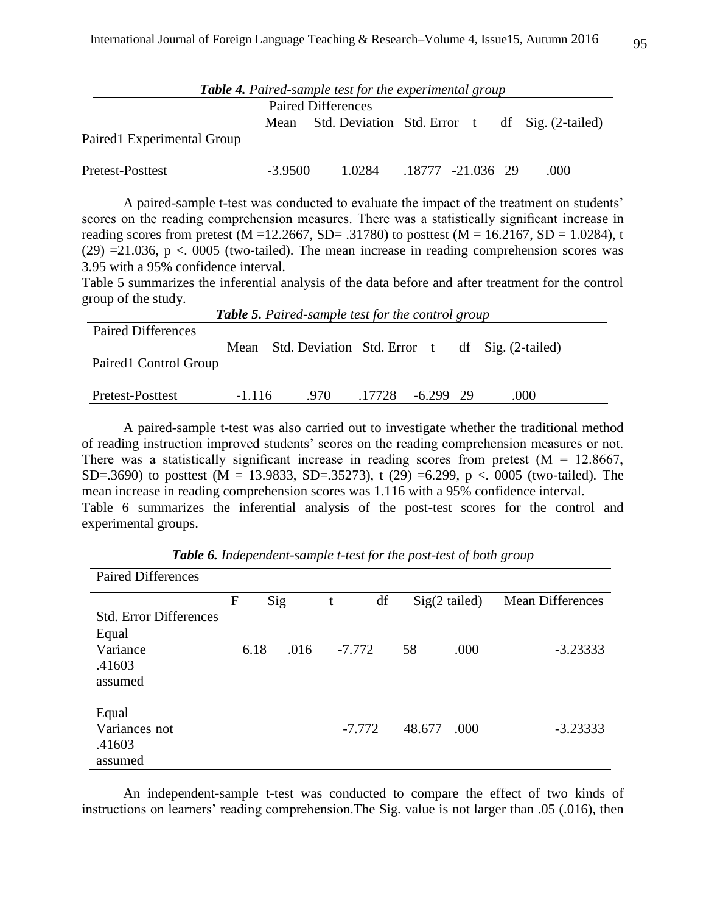| <b>Table 4.</b> Paired-sample test for the experimental group |           |                                                |                   |  |  |      |  |  |
|---------------------------------------------------------------|-----------|------------------------------------------------|-------------------|--|--|------|--|--|
| <b>Paired Differences</b>                                     |           |                                                |                   |  |  |      |  |  |
| Paired1 Experimental Group                                    | Mean      | Std. Deviation Std. Error t df Sig. (2-tailed) |                   |  |  |      |  |  |
| Pretest-Posttest                                              | $-3.9500$ | 1.0284                                         | .18777 -21.036 29 |  |  | .000 |  |  |

A paired-sample t-test was conducted to evaluate the impact of the treatment on students' scores on the reading comprehension measures. There was a statistically significant increase in reading scores from pretest (M = 12.2667, SD = .31780) to posttest (M = 16.2167, SD = 1.0284), t (29) =21.036,  $p < 0.0005$  (two-tailed). The mean increase in reading comprehension scores was 3.95 with a 95% confidence interval.

Table 5 summarizes the inferential analysis of the data before and after treatment for the control group of the study.

| <b>Table 5.</b> Paired-sample test for the control group |          |                                                     |        |             |  |      |  |  |
|----------------------------------------------------------|----------|-----------------------------------------------------|--------|-------------|--|------|--|--|
| <b>Paired Differences</b>                                |          |                                                     |        |             |  |      |  |  |
| Paired1 Control Group                                    |          | Mean Std. Deviation Std. Error t df Sig. (2-tailed) |        |             |  |      |  |  |
| Pretest-Posttest                                         | $-1.116$ | .970                                                | .17728 | $-6.299$ 29 |  | .000 |  |  |

A paired-sample t-test was also carried out to investigate whether the traditional method of reading instruction improved students' scores on the reading comprehension measures or not. There was a statistically significant increase in reading scores from pretest  $(M = 12.8667)$ , SD=.3690) to posttest (M = 13.9833, SD=.35273), t (29) =6.299, p <. 0005 (two-tailed). The mean increase in reading comprehension scores was 1.116 with a 95% confidence interval. Table 6 summarizes the inferential analysis of the post-test scores for the control and experimental groups.

| <b>Paired Differences</b>                   |   |      |      |   |          |        |                 |                         |            |
|---------------------------------------------|---|------|------|---|----------|--------|-----------------|-------------------------|------------|
|                                             | F | Sig  |      | t | df       |        | $Sig(2$ tailed) | <b>Mean Differences</b> |            |
| <b>Std. Error Differences</b>               |   |      |      |   |          |        |                 |                         |            |
| Equal<br>Variance<br>.41603<br>assumed      |   | 6.18 | .016 |   | $-7.772$ | 58     | .000            |                         | $-3.23333$ |
| Equal<br>Variances not<br>.41603<br>assumed |   |      |      |   | $-7.772$ | 48.677 | .000            |                         | $-3.23333$ |

*Table 6. Independent-sample t-test for the post-test of both group*

An independent-sample t-test was conducted to compare the effect of two kinds of instructions on learners' reading comprehension.The Sig. value is not larger than .05 (.016), then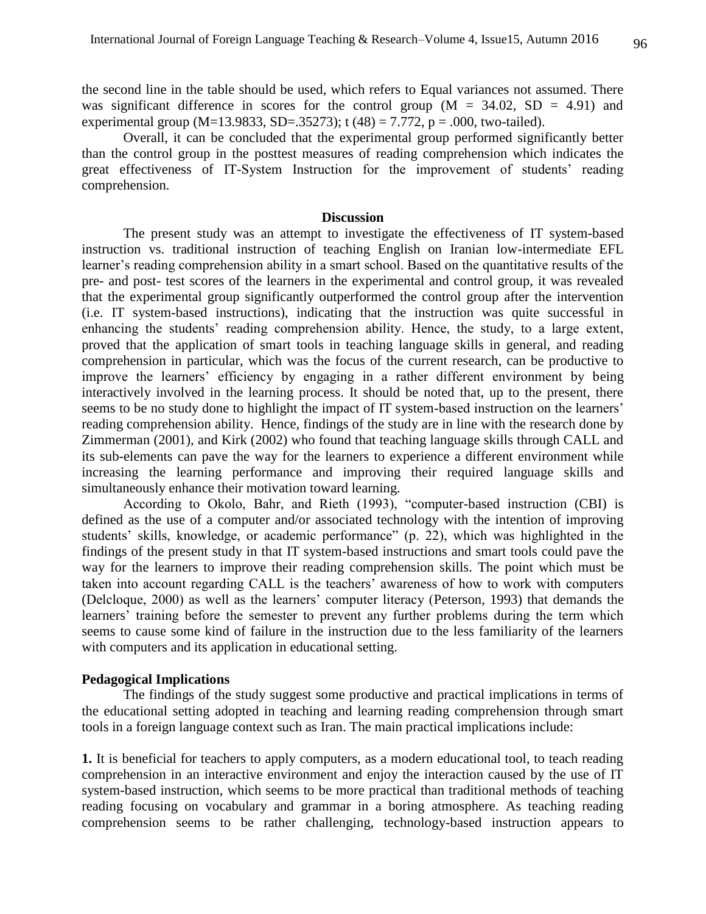the second line in the table should be used, which refers to Equal variances not assumed. There was significant difference in scores for the control group  $(M = 34.02, SD = 4.91)$  and experimental group (M=13.9833, SD=.35273); t (48) = 7.772, p = .000, two-tailed).

Overall, it can be concluded that the experimental group performed significantly better than the control group in the posttest measures of reading comprehension which indicates the great effectiveness of IT-System Instruction for the improvement of students' reading comprehension.

#### **Discussion**

The present study was an attempt to investigate the effectiveness of IT system-based instruction vs. traditional instruction of teaching English on Iranian low-intermediate EFL learner's reading comprehension ability in a smart school. Based on the quantitative results of the pre- and post- test scores of the learners in the experimental and control group, it was revealed that the experimental group significantly outperformed the control group after the intervention (i.e. IT system-based instructions), indicating that the instruction was quite successful in enhancing the students' reading comprehension ability. Hence, the study, to a large extent, proved that the application of smart tools in teaching language skills in general, and reading comprehension in particular, which was the focus of the current research, can be productive to improve the learners' efficiency by engaging in a rather different environment by being interactively involved in the learning process. It should be noted that, up to the present, there seems to be no study done to highlight the impact of IT system-based instruction on the learners' reading comprehension ability. Hence, findings of the study are in line with the research done by Zimmerman (2001), and Kirk (2002) who found that teaching language skills through CALL and its sub-elements can pave the way for the learners to experience a different environment while increasing the learning performance and improving their required language skills and simultaneously enhance their motivation toward learning.

According to Okolo, Bahr, and Rieth (1993), "computer-based instruction (CBI) is defined as the use of a computer and/or associated technology with the intention of improving students' skills, knowledge, or academic performance" (p. 22), which was highlighted in the findings of the present study in that IT system-based instructions and smart tools could pave the way for the learners to improve their reading comprehension skills. The point which must be taken into account regarding CALL is the teachers' awareness of how to work with computers (Delcloque, 2000) as well as the learners' computer literacy (Peterson, 1993) that demands the learners' training before the semester to prevent any further problems during the term which seems to cause some kind of failure in the instruction due to the less familiarity of the learners with computers and its application in educational setting.

# **Pedagogical Implications**

The findings of the study suggest some productive and practical implications in terms of the educational setting adopted in teaching and learning reading comprehension through smart tools in a foreign language context such as Iran. The main practical implications include:

**1.** It is beneficial for teachers to apply computers, as a modern educational tool, to teach reading comprehension in an interactive environment and enjoy the interaction caused by the use of IT system-based instruction, which seems to be more practical than traditional methods of teaching reading focusing on vocabulary and grammar in a boring atmosphere. As teaching reading comprehension seems to be rather challenging, technology-based instruction appears to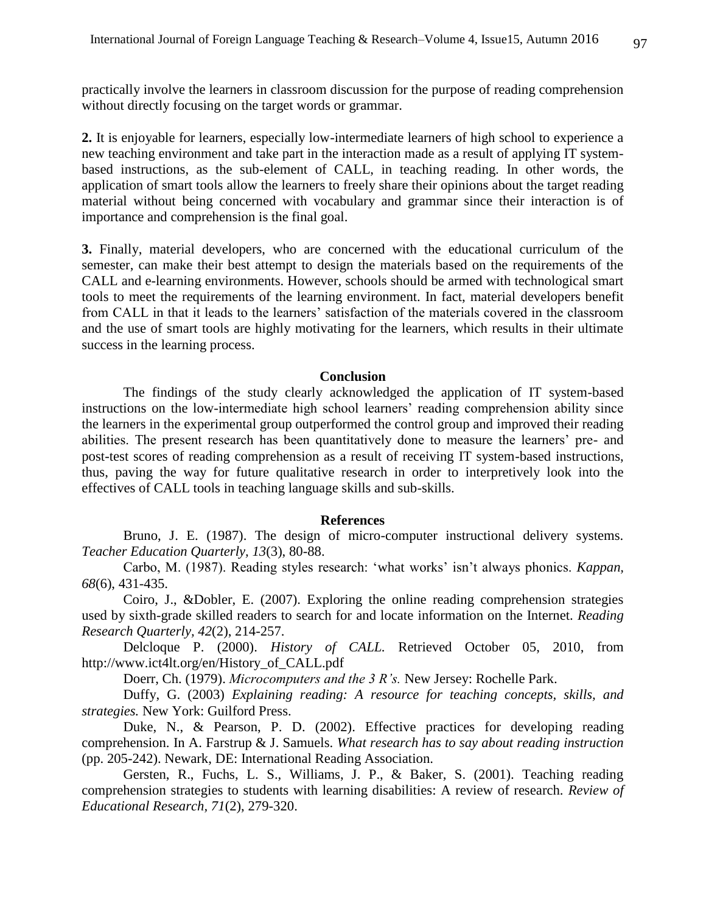practically involve the learners in classroom discussion for the purpose of reading comprehension without directly focusing on the target words or grammar.

**2.** It is enjoyable for learners, especially low-intermediate learners of high school to experience a new teaching environment and take part in the interaction made as a result of applying IT systembased instructions, as the sub-element of CALL, in teaching reading. In other words, the application of smart tools allow the learners to freely share their opinions about the target reading material without being concerned with vocabulary and grammar since their interaction is of importance and comprehension is the final goal.

**3.** Finally, material developers, who are concerned with the educational curriculum of the semester, can make their best attempt to design the materials based on the requirements of the CALL and e-learning environments. However, schools should be armed with technological smart tools to meet the requirements of the learning environment. In fact, material developers benefit from CALL in that it leads to the learners' satisfaction of the materials covered in the classroom and the use of smart tools are highly motivating for the learners, which results in their ultimate success in the learning process.

#### **Conclusion**

The findings of the study clearly acknowledged the application of IT system-based instructions on the low-intermediate high school learners' reading comprehension ability since the learners in the experimental group outperformed the control group and improved their reading abilities. The present research has been quantitatively done to measure the learners' pre- and post-test scores of reading comprehension as a result of receiving IT system-based instructions, thus, paving the way for future qualitative research in order to interpretively look into the effectives of CALL tools in teaching language skills and sub-skills.

#### **References**

Bruno, J. E. (1987). The design of micro-computer instructional delivery systems. *Teacher Education Quarterly, 13*(3), 80-88.

Carbo, M. (1987). Reading styles research: 'what works' isn't always phonics. *Kappan, 68*(6), 431-435.

Coiro, J., &Dobler, E. (2007). Exploring the online reading comprehension strategies used by sixth-grade skilled readers to search for and locate information on the Internet. *Reading Research Quarterly, 42*(2), 214-257.

Delcloque P. (2000). *History of CALL.* Retrieved October 05, 2010, from [http://www.ict4lt.org/en/History\\_of\\_CALL.pdf](http://www.ict4lt.org/en/History_of_CALL.pdf)

Doerr, Ch. (1979). *Microcomputers and the 3 R's.* New Jersey: Rochelle Park.

Duffy, G. (2003) *Explaining reading: A resource for teaching concepts, skills, and strategies.* New York: Guilford Press.

Duke, N., & Pearson, P. D. (2002). Effective practices for developing reading comprehension. In A. Farstrup & J. Samuels. *What research has to say about reading instruction*  (pp. 205-242). Newark, DE: International Reading Association.

Gersten, R., Fuchs, L. S., Williams, J. P., & Baker, S. (2001). Teaching reading comprehension strategies to students with learning disabilities: A review of research. *Review of Educational Research, 71*(2), 279-320.